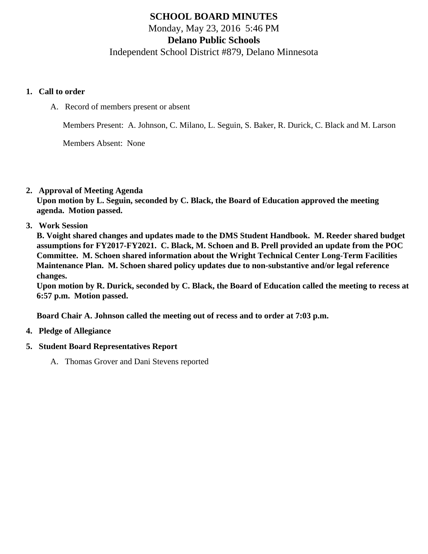# **SCHOOL BOARD MINUTES** Monday, May 23, 2016 5:46 PM

**Delano Public Schools**

Independent School District #879, Delano Minnesota

#### **1. Call to order**

A. Record of members present or absent

Members Present: A. Johnson, C. Milano, L. Seguin, S. Baker, R. Durick, C. Black and M. Larson

Members Absent: None

**2. Approval of Meeting Agenda**

**Upon motion by L. Seguin, seconded by C. Black, the Board of Education approved the meeting agenda. Motion passed.**

**3. Work Session**

**B. Voight shared changes and updates made to the DMS Student Handbook. M. Reeder shared budget assumptions for FY2017-FY2021. C. Black, M. Schoen and B. Prell provided an update from the POC Committee. M. Schoen shared information about the Wright Technical Center Long-Term Facilities Maintenance Plan. M. Schoen shared policy updates due to non-substantive and/or legal reference changes.**

**Upon motion by R. Durick, seconded by C. Black, the Board of Education called the meeting to recess at 6:57 p.m. Motion passed.**

**Board Chair A. Johnson called the meeting out of recess and to order at 7:03 p.m.**

- **4. Pledge of Allegiance**
- **5. Student Board Representatives Report**
	- A. Thomas Grover and Dani Stevens reported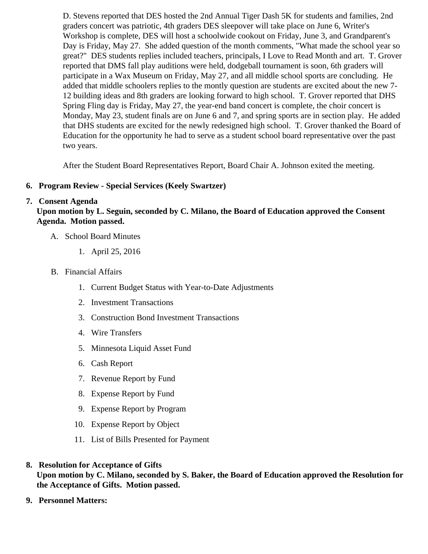D. Stevens reported that DES hosted the 2nd Annual Tiger Dash 5K for students and families, 2nd graders concert was patriotic, 4th graders DES sleepover will take place on June 6, Writer's Workshop is complete, DES will host a schoolwide cookout on Friday, June 3, and Grandparent's Day is Friday, May 27. She added question of the month comments, "What made the school year great?" DES students replies included teachers, principals, I Love to Read Month and art. T. Grover reported that DMS fall play auditions were held, dodgeball tournament is soon, 6th graders will participate in a Wax Museum on Friday, May 27, and all middle school sports are concluding. He added that middle schoolers replies to the montly question are students are excited about the new 12 building ideas and 8th graders are looking forward to high school. T. Grover reported that DHS Spring Fling day is Friday, May 27, the year-end band concert is complete, the choir concert is Monday, May 23, student finals are on June 6 and 7, and spring sports are in section play. He add that DHS students are excited for the newly redesigned high school. T. Grover thanked the Board Education for the opportunity he had to serve as a student school board representative over the pa two years.

After the Student Board Representatives Report, Board Chair A. Johnson exited the meeting.

- 6. Program Review Special Services (Keely Swartzer)
- 7. Consent Agenda

Upon motion by L. Seguin, seconded by C. Milano, the Board of Education approved the Consent Agenda. Motion passed.

- A. School Board Minutes
	- 1. [April 25, 2016](/docs/district/District_Forms/School_Board_Minutes_4.25.16.pdf)
- B. Financial Affairs
	- 1. [Current Budget Status with Year-to-Date Adjustm](/docs/district/Business_Office/Budget_Report_May_2016.pdf)ents
	- 2. [Investment Transactio](/docs/district/Business_Office/Investment_schedule_April_2016.pdf)ns
	- 3. [Construction Bond Investment Transacti](/docs/district/Business_Office/Bond_Investment_schedule_Apr_16.pdf)ons
	- 4. [Wire Transfer](/docs/district/Business_Office/Wire_Transfer_April_2016.pdf)s
	- 5. [Minnesota Liquid Asset Fun](/docs/district/Business_Office/Liquid_Asset_Fund_April_2016.pdf)d
	- 6. [Cash Repo](/docs/district/Business_Office/Cash_Report_April_2016.pdf)rt
	- 7. [Revenue Report by Fu](/docs/district/Business_Office/SCHOOL_BOARD_REPORTS_-_REVENUE_BY_FUND_TOTAL__(Date__6_2016).pdf)nd
	- 8. [Expense Report by Fu](/docs/district/Business_Office/SCHOOL_BOARD_REPORTS_-_EXP_BY_FUND_TOTAL__(Date__6_2016).pdf)nd
	- 9. [Expense Report by Progra](/docs/district/Business_Office/SCHOOL_BOARD_REPORTS_-_EXPENDITURES_BY_PROGRAM__(Date__6_2016).pdf)m
	- 10. [Expense Report by Obje](/docs/district/Business_Office/SCHOOL_BOARD_REPORTS_-_EXPENDITURES_BY_OBJECT__(Date__6_2016).pdf)ct
	- 11. [List of Bills Presented for Payme](/docs/district/Business_Office/Monthly_Bills.pdf)nt
- 8. [Resolution for Acceptance of Gifts](/docs/district/Business_Office/Resolution_for_Acceptance_of_Gifts_5.23.16.pdf) Upon motion by C. Milano, seconded by S. Baker, the Board of Education approved the Resolution for the Acceptance of Gifts. Motion passed.
- 9. [Personnel Matters:](/docs/district/Business_Office/05.23.16_Personnel.pdf)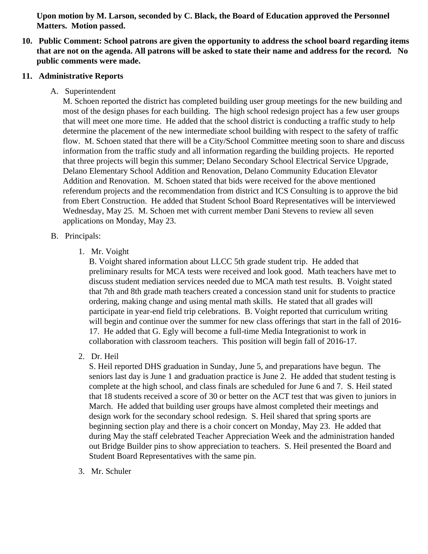**Upon motion by M. Larson, seconded by C. Black, the Board of Education approved the Personnel Matters. Motion passed.**

**10. Public Comment: School patrons are given the opportunity to address the school board regarding items that are not on the agenda. All patrons will be asked to state their name and address for the record. No public comments were made.**

#### **11. Administrative Reports**

A. Superintendent

M. Schoen reported the district has completed building user group meetings for the new building and most of the design phases for each building. The high school redesign project has a few user groups that will meet one more time. He added that the school district is conducting a traffic study to help determine the placement of the new intermediate school building with respect to the safety of traffic flow. M. Schoen stated that there will be a City/School Committee meeting soon to share and discuss information from the traffic study and all information regarding the building projects. He reported that three projects will begin this summer; Delano Secondary School Electrical Service Upgrade, Delano Elementary School Addition and Renovation, Delano Community Education Elevator Addition and Renovation. M. Schoen stated that bids were received for the above mentioned referendum projects and the recommendation from district and ICS Consulting is to approve the bid from Ebert Construction. He added that Student School Board Representatives will be interviewed Wednesday, May 25. M. Schoen met with current member Dani Stevens to review all seven applications on Monday, May 23.

- B. Principals:
	- 1. Mr. Voight

B. Voight shared information about LLCC 5th grade student trip. He added that preliminary results for MCA tests were received and look good. Math teachers have met to discuss student mediation services needed due to MCA math test results. B. Voight stated that 7th and 8th grade math teachers created a concession stand unit for students to practice ordering, making change and using mental math skills. He stated that all grades will participate in year-end field trip celebrations. B. Voight reported that curriculum writing will begin and continue over the summer for new class offerings that start in the fall of 2016- 17. He added that G. Egly will become a full-time Media Integrationist to work in collaboration with classroom teachers. This position will begin fall of 2016-17.

2. Dr. Heil

S. Heil reported DHS graduation in Sunday, June 5, and preparations have begun. The seniors last day is June 1 and graduation practice is June 2. He added that student testing is complete at the high school, and class finals are scheduled for June 6 and 7. S. Heil stated that 18 students received a score of 30 or better on the ACT test that was given to juniors in March. He added that building user groups have almost completed their meetings and design work for the secondary school redesign. S. Heil shared that spring sports are beginning section play and there is a choir concert on Monday, May 23. He added that during May the staff celebrated Teacher Appreciation Week and the administration handed out Bridge Builder pins to show appreciation to teachers. S. Heil presented the Board and Student Board Representatives with the same pin.

3. Mr. Schuler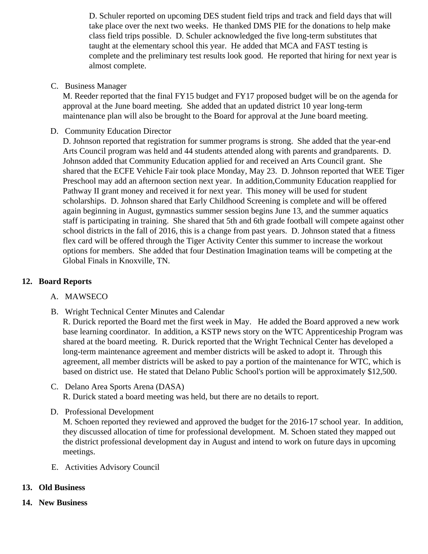D. Schuler reported on upcoming DES student field trips and track and field days that will take place over the next two weeks. He thanked DMS PIE for the donations to help make class field trips possible. D. Schuler acknowledged the five long-term substitutes that taught at the elementary school this year. He added that MCA and FAST testing is complete and the preliminary test results look good. He reported that hiring for next year is almost complete.

C. Business Manager

M. Reeder reported that the final FY15 budget and FY17 proposed budget will be on the agenda for approval at the June board meeting. She added that an updated district 10 year long-term maintenance plan will also be brought to the Board for approval at the June board meeting.

D. Community Education Director

D. Johnson reported that registration for summer programs is strong. She added that the year-end Arts Council program was held and 44 students attended along with parents and grandparents. D. Johnson added that Community Education applied for and received an Arts Council grant. She shared that the ECFE Vehicle Fair took place Monday, May 23. D. Johnson reported that WEE Tig Preschool may add an afternoon section next year. In addition,Community Education reapplied for Pathway II grant money and received it for next year. This money will be used for student scholarships. D. Johnson shared that Early Childhood Screening is complete and will be offered again beginning in August, gymnastics summer session begins June 13, and the summer aquatics staff is participating in training. She shared that 5th and 6th grade football will compete against other school districts in the fall of 2016, this is a change from past years. D. Johnson stated that a fitnes flex card will be offered through the Tiger Activity Center this summer to increase the workout options for members. She added that four Destination Imagination teams will be competing at the Global Finals in Knoxville, TN.

- 12. Board Reports
	- A. [MAWSECO](/docs/district/District_Forms/MAWSECO_Board_minutes_April_26,_2016.pdf)
	- B. Wright Technical Cent[er Minutes](/docs/district/2015_16/Min_April_5_WTC.pdf ) and [Calenda](/docs/district/2015_16/2016-17_Calender_Tentative_WTC.pdf )r

R. Durick reported the Board met the first week in May. He added the Board approved a new wor base learning coordinator. In addition, a KSTP news story on the WTC Apprenticeship Program w shared at the board meeting. R. Durick reported that the Wright Technical Center has developed a long-term maintenance agreement and member districts will be asked to adopt it. Through this agreement, all member districts will be asked to pay a portion of the maintenance for WTC, which i based on district use. He stated that Delano Public School's portion will be approximately \$12,500.

- C. Delano Area Sports Arena (DASA) R. Durick stated a board meeting was held, but there are no details to report.
- D. Professional Development M. Schoen reported they reviewed and approved the budget for the 2016-17 school year. In addition, they discussed allocation of time for professional development. M. Schoen stated they mapped out the district professional development day in August and intend to work on future days in upcoming meetings.
- E. [Activities Advisory Counci](/docs/district/District_Forms/Activities_Advisory_Council_Minutes_5.17&20.16.pdf)l
- 13. Old Business
- 14. New Business